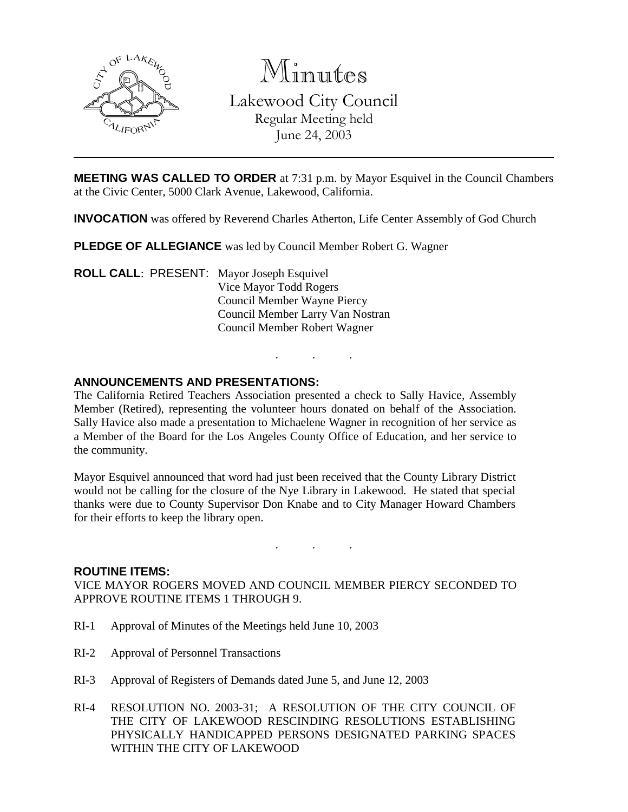

Minutes Lakewood City Council Regular Meeting held June 24, 2003

**MEETING WAS CALLED TO ORDER** at 7:31 p.m. by Mayor Esquivel in the Council Chambers at the Civic Center, 5000 Clark Avenue, Lakewood, California.

**INVOCATION** was offered by Reverend Charles Atherton, Life Center Assembly of God Church

**PLEDGE OF ALLEGIANCE** was led by Council Member Robert G. Wagner

**ROLL CALL**: PRESENT: Mayor Joseph Esquivel Vice Mayor Todd Rogers Council Member Wayne Piercy Council Member Larry Van Nostran Council Member Robert Wagner

### **ANNOUNCEMENTS AND PRESENTATIONS:**

The California Retired Teachers Association presented a check to Sally Havice, Assembly Member (Retired), representing the volunteer hours donated on behalf of the Association. Sally Havice also made a presentation to Michaelene Wagner in recognition of her service as a Member of the Board for the Los Angeles County Office of Education, and her service to the community.

. . .

Mayor Esquivel announced that word had just been received that the County Library District would not be calling for the closure of the Nye Library in Lakewood. He stated that special thanks were due to County Supervisor Don Knabe and to City Manager Howard Chambers for their efforts to keep the library open.

. . .

#### **ROUTINE ITEMS:**

VICE MAYOR ROGERS MOVED AND COUNCIL MEMBER PIERCY SECONDED TO APPROVE ROUTINE ITEMS 1 THROUGH 9.

- RI-1 Approval of Minutes of the Meetings held June 10, 2003
- RI-2 Approval of Personnel Transactions
- RI-3 Approval of Registers of Demands dated June 5, and June 12, 2003
- RI-4 RESOLUTION NO. 2003-31; A RESOLUTION OF THE CITY COUNCIL OF THE CITY OF LAKEWOOD RESCINDING RESOLUTIONS ESTABLISHING PHYSICALLY HANDICAPPED PERSONS DESIGNATED PARKING SPACES WITHIN THE CITY OF LAKEWOOD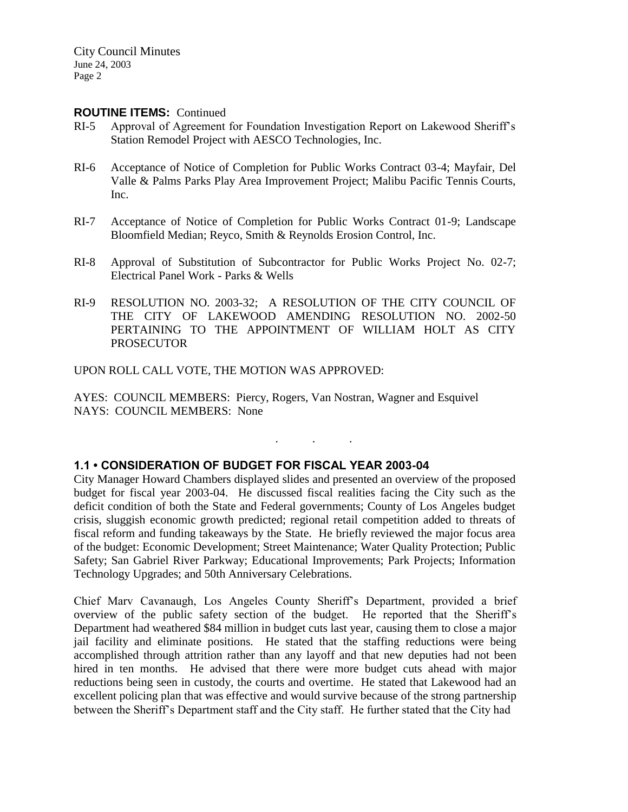#### **ROUTINE ITEMS:** Continued

- RI-5 Approval of Agreement for Foundation Investigation Report on Lakewood Sheriff's Station Remodel Project with AESCO Technologies, Inc.
- RI-6 Acceptance of Notice of Completion for Public Works Contract 03-4; Mayfair, Del Valle & Palms Parks Play Area Improvement Project; Malibu Pacific Tennis Courts, Inc.
- RI-7 Acceptance of Notice of Completion for Public Works Contract 01-9; Landscape Bloomfield Median; Reyco, Smith & Reynolds Erosion Control, Inc.
- RI-8 Approval of Substitution of Subcontractor for Public Works Project No. 02-7; Electrical Panel Work - Parks & Wells
- RI-9 RESOLUTION NO. 2003-32; A RESOLUTION OF THE CITY COUNCIL OF THE CITY OF LAKEWOOD AMENDING RESOLUTION NO. 2002-50 PERTAINING TO THE APPOINTMENT OF WILLIAM HOLT AS CITY PROSECUTOR

UPON ROLL CALL VOTE, THE MOTION WAS APPROVED:

AYES: COUNCIL MEMBERS: Piercy, Rogers, Van Nostran, Wagner and Esquivel NAYS: COUNCIL MEMBERS: None

### **1.1 • CONSIDERATION OF BUDGET FOR FISCAL YEAR 2003-04**

City Manager Howard Chambers displayed slides and presented an overview of the proposed budget for fiscal year 2003-04. He discussed fiscal realities facing the City such as the deficit condition of both the State and Federal governments; County of Los Angeles budget crisis, sluggish economic growth predicted; regional retail competition added to threats of fiscal reform and funding takeaways by the State. He briefly reviewed the major focus area of the budget: Economic Development; Street Maintenance; Water Quality Protection; Public Safety; San Gabriel River Parkway; Educational Improvements; Park Projects; Information Technology Upgrades; and 50th Anniversary Celebrations.

. . .

Chief Marv Cavanaugh, Los Angeles County Sheriff's Department, provided a brief overview of the public safety section of the budget. He reported that the Sheriff's Department had weathered \$84 million in budget cuts last year, causing them to close a major jail facility and eliminate positions. He stated that the staffing reductions were being accomplished through attrition rather than any layoff and that new deputies had not been hired in ten months. He advised that there were more budget cuts ahead with major reductions being seen in custody, the courts and overtime. He stated that Lakewood had an excellent policing plan that was effective and would survive because of the strong partnership between the Sheriff's Department staff and the City staff. He further stated that the City had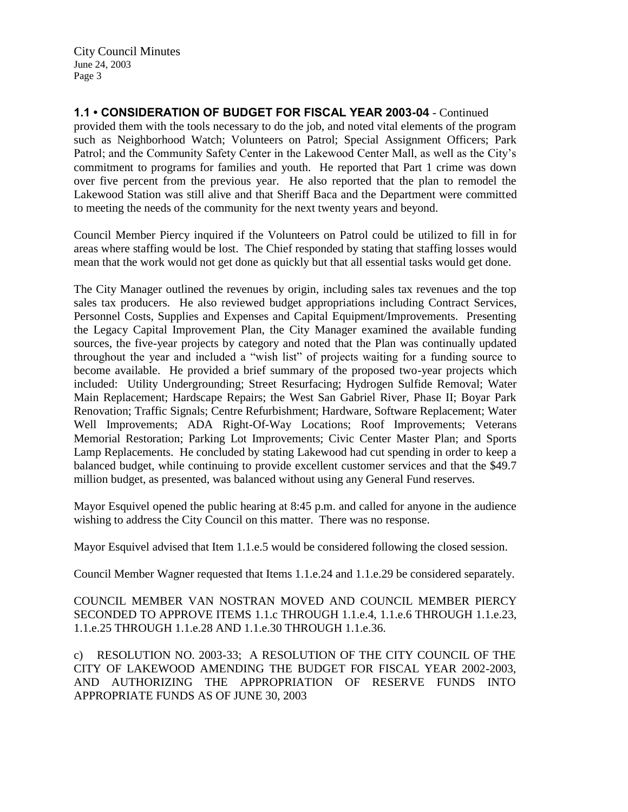**1.1 • CONSIDERATION OF BUDGET FOR FISCAL YEAR 2003-04** - Continued

provided them with the tools necessary to do the job, and noted vital elements of the program such as Neighborhood Watch; Volunteers on Patrol; Special Assignment Officers; Park Patrol; and the Community Safety Center in the Lakewood Center Mall, as well as the City's commitment to programs for families and youth. He reported that Part 1 crime was down over five percent from the previous year. He also reported that the plan to remodel the Lakewood Station was still alive and that Sheriff Baca and the Department were committed to meeting the needs of the community for the next twenty years and beyond.

Council Member Piercy inquired if the Volunteers on Patrol could be utilized to fill in for areas where staffing would be lost. The Chief responded by stating that staffing losses would mean that the work would not get done as quickly but that all essential tasks would get done.

The City Manager outlined the revenues by origin, including sales tax revenues and the top sales tax producers. He also reviewed budget appropriations including Contract Services, Personnel Costs, Supplies and Expenses and Capital Equipment/Improvements. Presenting the Legacy Capital Improvement Plan, the City Manager examined the available funding sources, the five-year projects by category and noted that the Plan was continually updated throughout the year and included a "wish list" of projects waiting for a funding source to become available. He provided a brief summary of the proposed two-year projects which included: Utility Undergrounding; Street Resurfacing; Hydrogen Sulfide Removal; Water Main Replacement; Hardscape Repairs; the West San Gabriel River, Phase II; Boyar Park Renovation; Traffic Signals; Centre Refurbishment; Hardware, Software Replacement; Water Well Improvements; ADA Right-Of-Way Locations; Roof Improvements; Veterans Memorial Restoration; Parking Lot Improvements; Civic Center Master Plan; and Sports Lamp Replacements. He concluded by stating Lakewood had cut spending in order to keep a balanced budget, while continuing to provide excellent customer services and that the \$49.7 million budget, as presented, was balanced without using any General Fund reserves.

Mayor Esquivel opened the public hearing at 8:45 p.m. and called for anyone in the audience wishing to address the City Council on this matter. There was no response.

Mayor Esquivel advised that Item 1.1.e.5 would be considered following the closed session.

Council Member Wagner requested that Items 1.1.e.24 and 1.1.e.29 be considered separately.

COUNCIL MEMBER VAN NOSTRAN MOVED AND COUNCIL MEMBER PIERCY SECONDED TO APPROVE ITEMS 1.1.c THROUGH 1.1.e.4, 1.1.e.6 THROUGH 1.1.e.23, 1.1.e.25 THROUGH 1.1.e.28 AND 1.1.e.30 THROUGH 1.1.e.36.

c) RESOLUTION NO. 2003-33; A RESOLUTION OF THE CITY COUNCIL OF THE CITY OF LAKEWOOD AMENDING THE BUDGET FOR FISCAL YEAR 2002-2003, AND AUTHORIZING THE APPROPRIATION OF RESERVE FUNDS INTO APPROPRIATE FUNDS AS OF JUNE 30, 2003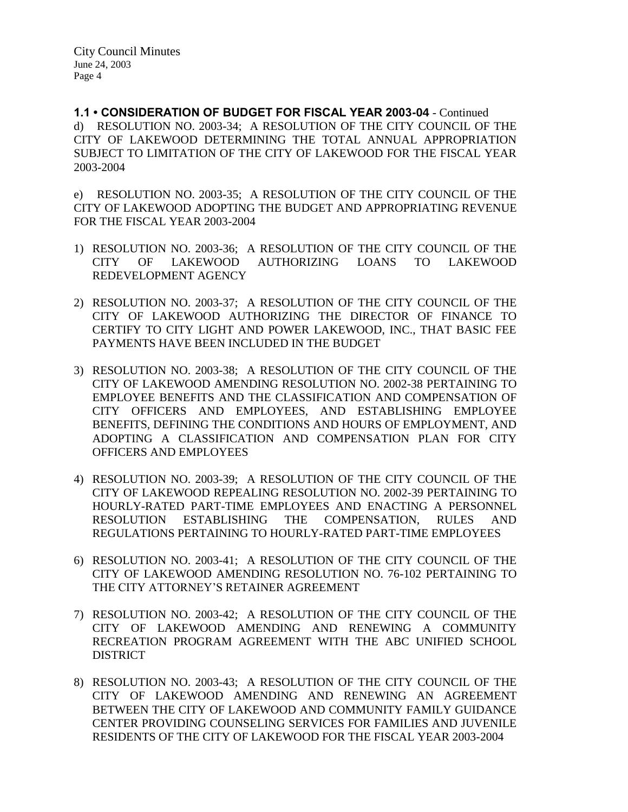**1.1 • CONSIDERATION OF BUDGET FOR FISCAL YEAR 2003-04** - Continued d) RESOLUTION NO. 2003-34; A RESOLUTION OF THE CITY COUNCIL OF THE CITY OF LAKEWOOD DETERMINING THE TOTAL ANNUAL APPROPRIATION SUBJECT TO LIMITATION OF THE CITY OF LAKEWOOD FOR THE FISCAL YEAR 2003-2004

e) RESOLUTION NO. 2003-35; A RESOLUTION OF THE CITY COUNCIL OF THE CITY OF LAKEWOOD ADOPTING THE BUDGET AND APPROPRIATING REVENUE FOR THE FISCAL YEAR 2003-2004

- 1) RESOLUTION NO. 2003-36; A RESOLUTION OF THE CITY COUNCIL OF THE CITY OF LAKEWOOD AUTHORIZING LOANS TO LAKEWOOD REDEVELOPMENT AGENCY
- 2) RESOLUTION NO. 2003-37; A RESOLUTION OF THE CITY COUNCIL OF THE CITY OF LAKEWOOD AUTHORIZING THE DIRECTOR OF FINANCE TO CERTIFY TO CITY LIGHT AND POWER LAKEWOOD, INC., THAT BASIC FEE PAYMENTS HAVE BEEN INCLUDED IN THE BUDGET
- 3) RESOLUTION NO. 2003-38; A RESOLUTION OF THE CITY COUNCIL OF THE CITY OF LAKEWOOD AMENDING RESOLUTION NO. 2002-38 PERTAINING TO EMPLOYEE BENEFITS AND THE CLASSIFICATION AND COMPENSATION OF CITY OFFICERS AND EMPLOYEES, AND ESTABLISHING EMPLOYEE BENEFITS, DEFINING THE CONDITIONS AND HOURS OF EMPLOYMENT, AND ADOPTING A CLASSIFICATION AND COMPENSATION PLAN FOR CITY OFFICERS AND EMPLOYEES
- 4) RESOLUTION NO. 2003-39; A RESOLUTION OF THE CITY COUNCIL OF THE CITY OF LAKEWOOD REPEALING RESOLUTION NO. 2002-39 PERTAINING TO HOURLY-RATED PART-TIME EMPLOYEES AND ENACTING A PERSONNEL RESOLUTION ESTABLISHING THE COMPENSATION, RULES AND REGULATIONS PERTAINING TO HOURLY-RATED PART-TIME EMPLOYEES
- 6) RESOLUTION NO. 2003-41; A RESOLUTION OF THE CITY COUNCIL OF THE CITY OF LAKEWOOD AMENDING RESOLUTION NO. 76-102 PERTAINING TO THE CITY ATTORNEY'S RETAINER AGREEMENT
- 7) RESOLUTION NO. 2003-42; A RESOLUTION OF THE CITY COUNCIL OF THE CITY OF LAKEWOOD AMENDING AND RENEWING A COMMUNITY RECREATION PROGRAM AGREEMENT WITH THE ABC UNIFIED SCHOOL DISTRICT
- 8) RESOLUTION NO. 2003-43; A RESOLUTION OF THE CITY COUNCIL OF THE CITY OF LAKEWOOD AMENDING AND RENEWING AN AGREEMENT BETWEEN THE CITY OF LAKEWOOD AND COMMUNITY FAMILY GUIDANCE CENTER PROVIDING COUNSELING SERVICES FOR FAMILIES AND JUVENILE RESIDENTS OF THE CITY OF LAKEWOOD FOR THE FISCAL YEAR 2003-2004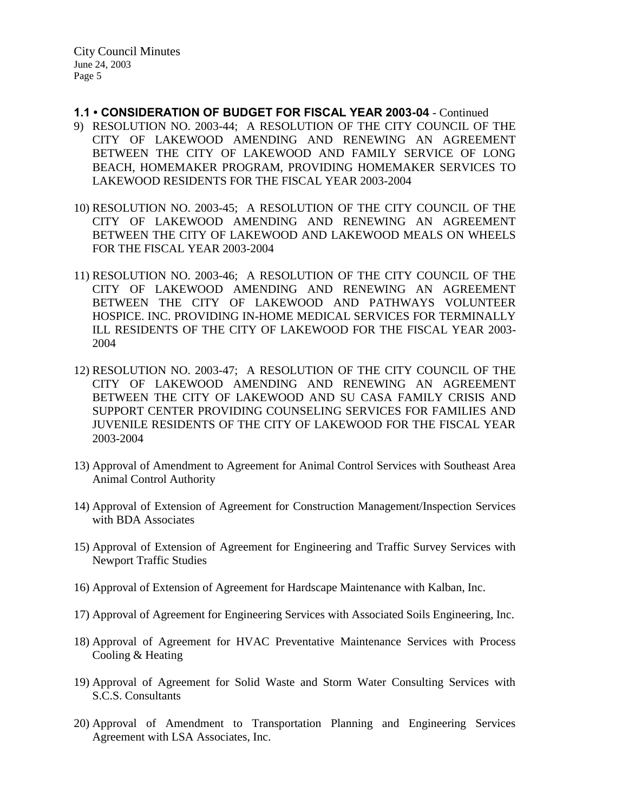- **1.1 CONSIDERATION OF BUDGET FOR FISCAL YEAR 2003-04**  Continued
- 9) RESOLUTION NO. 2003-44; A RESOLUTION OF THE CITY COUNCIL OF THE CITY OF LAKEWOOD AMENDING AND RENEWING AN AGREEMENT BETWEEN THE CITY OF LAKEWOOD AND FAMILY SERVICE OF LONG BEACH, HOMEMAKER PROGRAM, PROVIDING HOMEMAKER SERVICES TO LAKEWOOD RESIDENTS FOR THE FISCAL YEAR 2003-2004
- 10) RESOLUTION NO. 2003-45; A RESOLUTION OF THE CITY COUNCIL OF THE CITY OF LAKEWOOD AMENDING AND RENEWING AN AGREEMENT BETWEEN THE CITY OF LAKEWOOD AND LAKEWOOD MEALS ON WHEELS FOR THE FISCAL YEAR 2003-2004
- 11) RESOLUTION NO. 2003-46; A RESOLUTION OF THE CITY COUNCIL OF THE CITY OF LAKEWOOD AMENDING AND RENEWING AN AGREEMENT BETWEEN THE CITY OF LAKEWOOD AND PATHWAYS VOLUNTEER HOSPICE. INC. PROVIDING IN-HOME MEDICAL SERVICES FOR TERMINALLY ILL RESIDENTS OF THE CITY OF LAKEWOOD FOR THE FISCAL YEAR 2003- 2004
- 12) RESOLUTION NO. 2003-47; A RESOLUTION OF THE CITY COUNCIL OF THE CITY OF LAKEWOOD AMENDING AND RENEWING AN AGREEMENT BETWEEN THE CITY OF LAKEWOOD AND SU CASA FAMILY CRISIS AND SUPPORT CENTER PROVIDING COUNSELING SERVICES FOR FAMILIES AND JUVENILE RESIDENTS OF THE CITY OF LAKEWOOD FOR THE FISCAL YEAR 2003-2004
- 13) Approval of Amendment to Agreement for Animal Control Services with Southeast Area Animal Control Authority
- 14) Approval of Extension of Agreement for Construction Management/Inspection Services with BDA Associates
- 15) Approval of Extension of Agreement for Engineering and Traffic Survey Services with Newport Traffic Studies
- 16) Approval of Extension of Agreement for Hardscape Maintenance with Kalban, Inc.
- 17) Approval of Agreement for Engineering Services with Associated Soils Engineering, Inc.
- 18) Approval of Agreement for HVAC Preventative Maintenance Services with Process Cooling & Heating
- 19) Approval of Agreement for Solid Waste and Storm Water Consulting Services with S.C.S. Consultants
- 20) Approval of Amendment to Transportation Planning and Engineering Services Agreement with LSA Associates, Inc.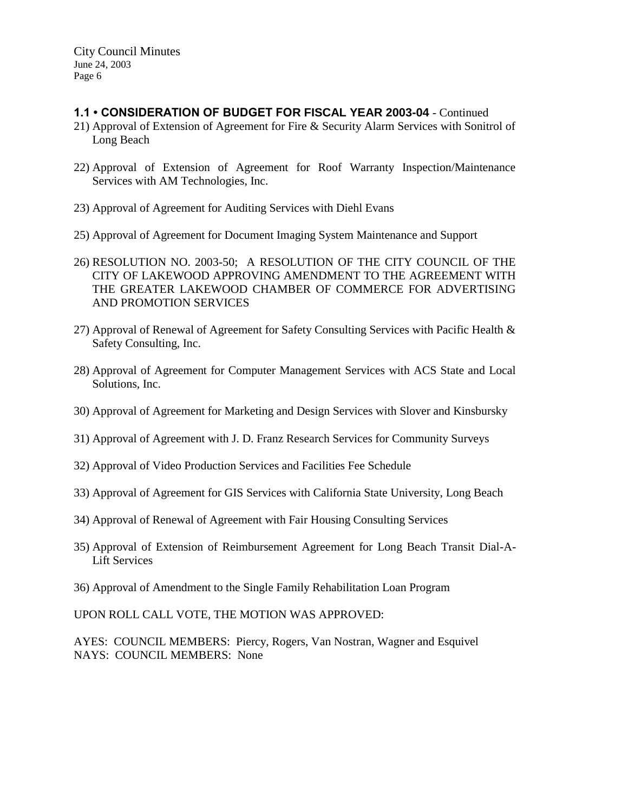## **1.1 • CONSIDERATION OF BUDGET FOR FISCAL YEAR 2003-04** - Continued

- 21) Approval of Extension of Agreement for Fire & Security Alarm Services with Sonitrol of Long Beach
- 22) Approval of Extension of Agreement for Roof Warranty Inspection/Maintenance Services with AM Technologies, Inc.
- 23) Approval of Agreement for Auditing Services with Diehl Evans
- 25) Approval of Agreement for Document Imaging System Maintenance and Support
- 26) RESOLUTION NO. 2003-50; A RESOLUTION OF THE CITY COUNCIL OF THE CITY OF LAKEWOOD APPROVING AMENDMENT TO THE AGREEMENT WITH THE GREATER LAKEWOOD CHAMBER OF COMMERCE FOR ADVERTISING AND PROMOTION SERVICES
- 27) Approval of Renewal of Agreement for Safety Consulting Services with Pacific Health & Safety Consulting, Inc.
- 28) Approval of Agreement for Computer Management Services with ACS State and Local Solutions, Inc.
- 30) Approval of Agreement for Marketing and Design Services with Slover and Kinsbursky
- 31) Approval of Agreement with J. D. Franz Research Services for Community Surveys
- 32) Approval of Video Production Services and Facilities Fee Schedule
- 33) Approval of Agreement for GIS Services with California State University, Long Beach
- 34) Approval of Renewal of Agreement with Fair Housing Consulting Services
- 35) Approval of Extension of Reimbursement Agreement for Long Beach Transit Dial-A-Lift Services
- 36) Approval of Amendment to the Single Family Rehabilitation Loan Program

UPON ROLL CALL VOTE, THE MOTION WAS APPROVED:

AYES: COUNCIL MEMBERS: Piercy, Rogers, Van Nostran, Wagner and Esquivel NAYS: COUNCIL MEMBERS: None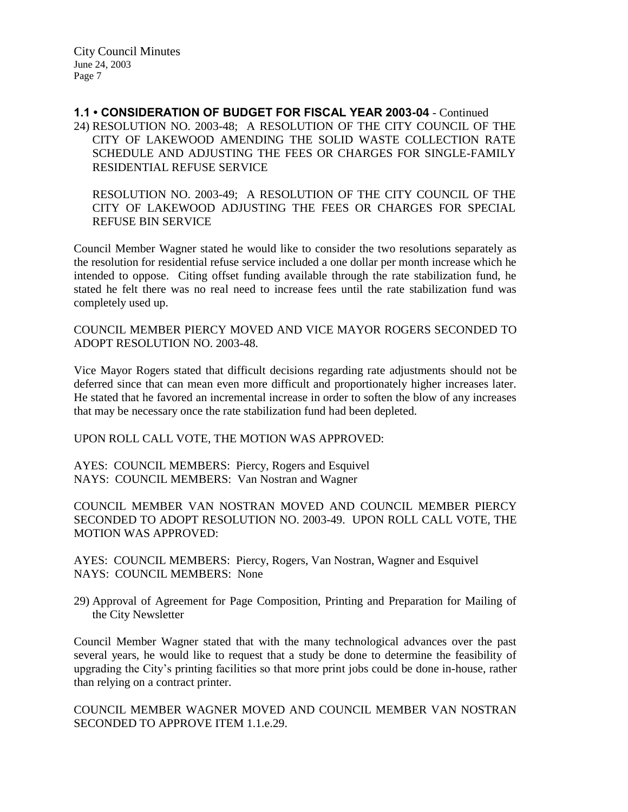**1.1 • CONSIDERATION OF BUDGET FOR FISCAL YEAR 2003-04** - Continued 24) RESOLUTION NO. 2003-48; A RESOLUTION OF THE CITY COUNCIL OF THE CITY OF LAKEWOOD AMENDING THE SOLID WASTE COLLECTION RATE SCHEDULE AND ADJUSTING THE FEES OR CHARGES FOR SINGLE-FAMILY RESIDENTIAL REFUSE SERVICE

RESOLUTION NO. 2003-49; A RESOLUTION OF THE CITY COUNCIL OF THE CITY OF LAKEWOOD ADJUSTING THE FEES OR CHARGES FOR SPECIAL REFUSE BIN SERVICE

Council Member Wagner stated he would like to consider the two resolutions separately as the resolution for residential refuse service included a one dollar per month increase which he intended to oppose. Citing offset funding available through the rate stabilization fund, he stated he felt there was no real need to increase fees until the rate stabilization fund was completely used up.

COUNCIL MEMBER PIERCY MOVED AND VICE MAYOR ROGERS SECONDED TO ADOPT RESOLUTION NO. 2003-48.

Vice Mayor Rogers stated that difficult decisions regarding rate adjustments should not be deferred since that can mean even more difficult and proportionately higher increases later. He stated that he favored an incremental increase in order to soften the blow of any increases that may be necessary once the rate stabilization fund had been depleted.

UPON ROLL CALL VOTE, THE MOTION WAS APPROVED:

AYES: COUNCIL MEMBERS: Piercy, Rogers and Esquivel NAYS: COUNCIL MEMBERS: Van Nostran and Wagner

COUNCIL MEMBER VAN NOSTRAN MOVED AND COUNCIL MEMBER PIERCY SECONDED TO ADOPT RESOLUTION NO. 2003-49. UPON ROLL CALL VOTE, THE MOTION WAS APPROVED:

AYES: COUNCIL MEMBERS: Piercy, Rogers, Van Nostran, Wagner and Esquivel NAYS: COUNCIL MEMBERS: None

29) Approval of Agreement for Page Composition, Printing and Preparation for Mailing of the City Newsletter

Council Member Wagner stated that with the many technological advances over the past several years, he would like to request that a study be done to determine the feasibility of upgrading the City's printing facilities so that more print jobs could be done in-house, rather than relying on a contract printer.

COUNCIL MEMBER WAGNER MOVED AND COUNCIL MEMBER VAN NOSTRAN SECONDED TO APPROVE ITEM 1.1.e.29.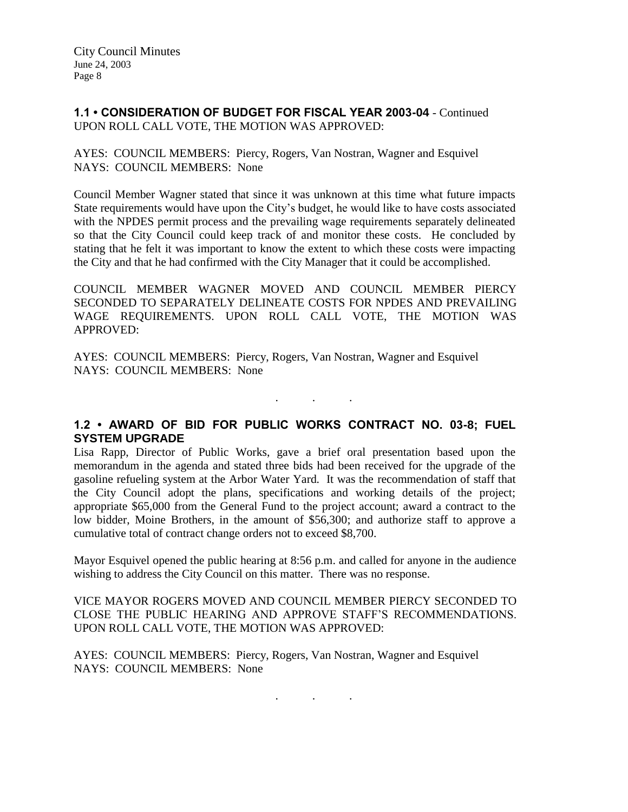## **1.1 • CONSIDERATION OF BUDGET FOR FISCAL YEAR 2003-04** - Continued UPON ROLL CALL VOTE, THE MOTION WAS APPROVED:

AYES: COUNCIL MEMBERS: Piercy, Rogers, Van Nostran, Wagner and Esquivel NAYS: COUNCIL MEMBERS: None

Council Member Wagner stated that since it was unknown at this time what future impacts State requirements would have upon the City's budget, he would like to have costs associated with the NPDES permit process and the prevailing wage requirements separately delineated so that the City Council could keep track of and monitor these costs. He concluded by stating that he felt it was important to know the extent to which these costs were impacting the City and that he had confirmed with the City Manager that it could be accomplished.

COUNCIL MEMBER WAGNER MOVED AND COUNCIL MEMBER PIERCY SECONDED TO SEPARATELY DELINEATE COSTS FOR NPDES AND PREVAILING WAGE REQUIREMENTS. UPON ROLL CALL VOTE, THE MOTION WAS APPROVED:

AYES: COUNCIL MEMBERS: Piercy, Rogers, Van Nostran, Wagner and Esquivel NAYS: COUNCIL MEMBERS: None

**1.2 • AWARD OF BID FOR PUBLIC WORKS CONTRACT NO. 03-8; FUEL SYSTEM UPGRADE**

. . .

Lisa Rapp, Director of Public Works, gave a brief oral presentation based upon the memorandum in the agenda and stated three bids had been received for the upgrade of the gasoline refueling system at the Arbor Water Yard. It was the recommendation of staff that the City Council adopt the plans, specifications and working details of the project; appropriate \$65,000 from the General Fund to the project account; award a contract to the low bidder, Moine Brothers, in the amount of \$56,300; and authorize staff to approve a cumulative total of contract change orders not to exceed \$8,700.

Mayor Esquivel opened the public hearing at 8:56 p.m. and called for anyone in the audience wishing to address the City Council on this matter. There was no response.

VICE MAYOR ROGERS MOVED AND COUNCIL MEMBER PIERCY SECONDED TO CLOSE THE PUBLIC HEARING AND APPROVE STAFF'S RECOMMENDATIONS. UPON ROLL CALL VOTE, THE MOTION WAS APPROVED:

AYES: COUNCIL MEMBERS: Piercy, Rogers, Van Nostran, Wagner and Esquivel NAYS: COUNCIL MEMBERS: None

. . .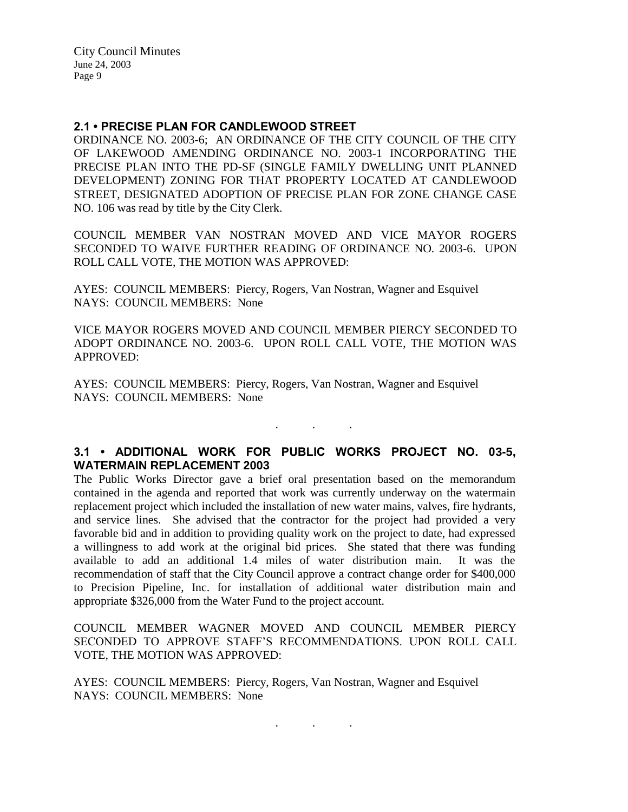### **2.1 • PRECISE PLAN FOR CANDLEWOOD STREET**

ORDINANCE NO. 2003-6; AN ORDINANCE OF THE CITY COUNCIL OF THE CITY OF LAKEWOOD AMENDING ORDINANCE NO. 2003-1 INCORPORATING THE PRECISE PLAN INTO THE PD-SF (SINGLE FAMILY DWELLING UNIT PLANNED DEVELOPMENT) ZONING FOR THAT PROPERTY LOCATED AT CANDLEWOOD STREET, DESIGNATED ADOPTION OF PRECISE PLAN FOR ZONE CHANGE CASE NO. 106 was read by title by the City Clerk.

COUNCIL MEMBER VAN NOSTRAN MOVED AND VICE MAYOR ROGERS SECONDED TO WAIVE FURTHER READING OF ORDINANCE NO. 2003-6. UPON ROLL CALL VOTE, THE MOTION WAS APPROVED:

AYES: COUNCIL MEMBERS: Piercy, Rogers, Van Nostran, Wagner and Esquivel NAYS: COUNCIL MEMBERS: None

VICE MAYOR ROGERS MOVED AND COUNCIL MEMBER PIERCY SECONDED TO ADOPT ORDINANCE NO. 2003-6. UPON ROLL CALL VOTE, THE MOTION WAS APPROVED:

AYES: COUNCIL MEMBERS: Piercy, Rogers, Van Nostran, Wagner and Esquivel NAYS: COUNCIL MEMBERS: None

# **3.1 • ADDITIONAL WORK FOR PUBLIC WORKS PROJECT NO. 03-5, WATERMAIN REPLACEMENT 2003**

. . .

The Public Works Director gave a brief oral presentation based on the memorandum contained in the agenda and reported that work was currently underway on the watermain replacement project which included the installation of new water mains, valves, fire hydrants, and service lines. She advised that the contractor for the project had provided a very favorable bid and in addition to providing quality work on the project to date, had expressed a willingness to add work at the original bid prices. She stated that there was funding available to add an additional 1.4 miles of water distribution main. It was the recommendation of staff that the City Council approve a contract change order for \$400,000 to Precision Pipeline, Inc. for installation of additional water distribution main and appropriate \$326,000 from the Water Fund to the project account.

COUNCIL MEMBER WAGNER MOVED AND COUNCIL MEMBER PIERCY SECONDED TO APPROVE STAFF'S RECOMMENDATIONS. UPON ROLL CALL VOTE, THE MOTION WAS APPROVED:

AYES: COUNCIL MEMBERS: Piercy, Rogers, Van Nostran, Wagner and Esquivel NAYS: COUNCIL MEMBERS: None

. . .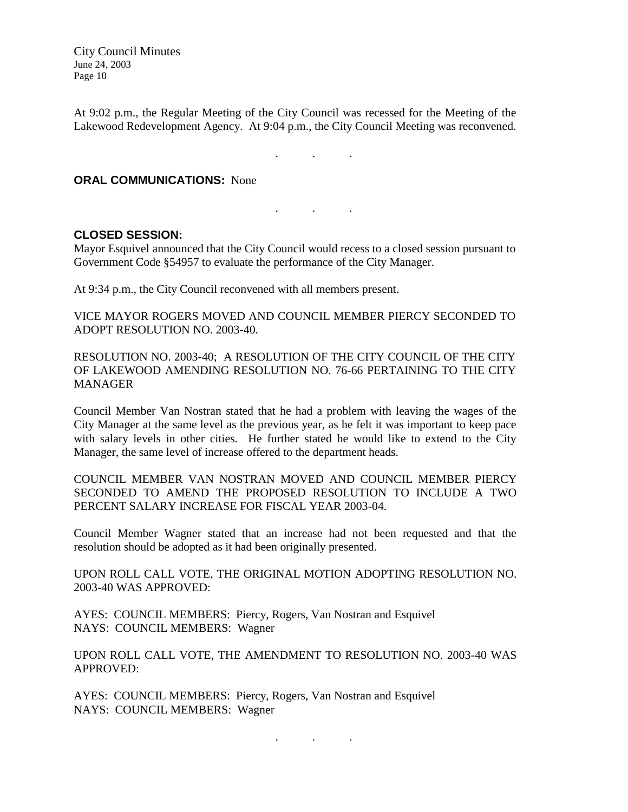At 9:02 p.m., the Regular Meeting of the City Council was recessed for the Meeting of the Lakewood Redevelopment Agency. At 9:04 p.m., the City Council Meeting was reconvened.

. . .

### **ORAL COMMUNICATIONS:** None

### **CLOSED SESSION:**

Mayor Esquivel announced that the City Council would recess to a closed session pursuant to Government Code §54957 to evaluate the performance of the City Manager.

. . .

At 9:34 p.m., the City Council reconvened with all members present.

VICE MAYOR ROGERS MOVED AND COUNCIL MEMBER PIERCY SECONDED TO ADOPT RESOLUTION NO. 2003-40.

RESOLUTION NO. 2003-40; A RESOLUTION OF THE CITY COUNCIL OF THE CITY OF LAKEWOOD AMENDING RESOLUTION NO. 76-66 PERTAINING TO THE CITY MANAGER

Council Member Van Nostran stated that he had a problem with leaving the wages of the City Manager at the same level as the previous year, as he felt it was important to keep pace with salary levels in other cities. He further stated he would like to extend to the City Manager, the same level of increase offered to the department heads.

COUNCIL MEMBER VAN NOSTRAN MOVED AND COUNCIL MEMBER PIERCY SECONDED TO AMEND THE PROPOSED RESOLUTION TO INCLUDE A TWO PERCENT SALARY INCREASE FOR FISCAL YEAR 2003-04.

Council Member Wagner stated that an increase had not been requested and that the resolution should be adopted as it had been originally presented.

UPON ROLL CALL VOTE, THE ORIGINAL MOTION ADOPTING RESOLUTION NO. 2003-40 WAS APPROVED:

AYES: COUNCIL MEMBERS: Piercy, Rogers, Van Nostran and Esquivel NAYS: COUNCIL MEMBERS: Wagner

UPON ROLL CALL VOTE, THE AMENDMENT TO RESOLUTION NO. 2003-40 WAS APPROVED:

AYES: COUNCIL MEMBERS: Piercy, Rogers, Van Nostran and Esquivel NAYS: COUNCIL MEMBERS: Wagner

. . .